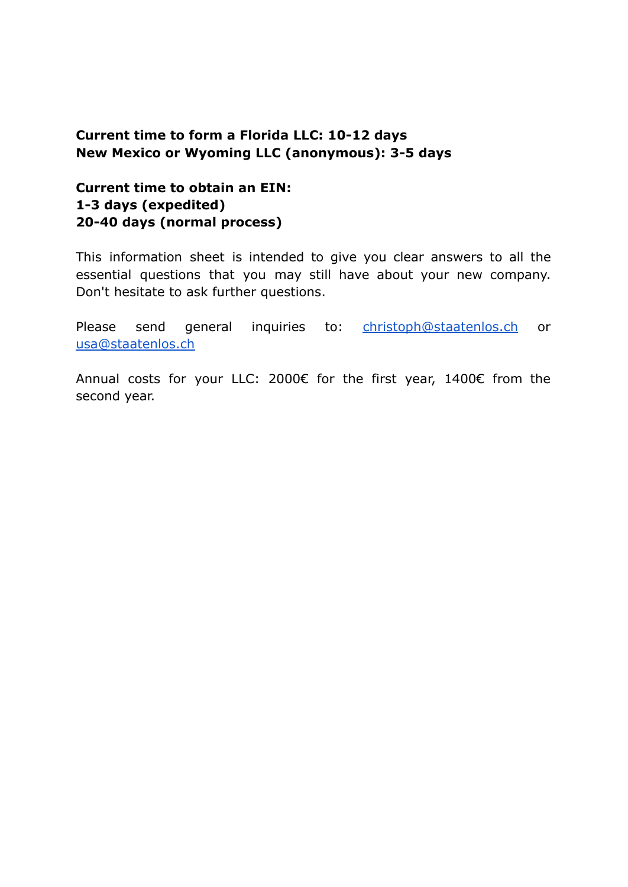### **Current time to form a Florida LLC: 10-12 days New Mexico or Wyoming LLC (anonymous): 3-5 days**

### **Current time to obtain an EIN: 1-3 days (expedited) 20-40 days (normal process)**

This information sheet is intended to give you clear answers to all the essential questions that you may still have about your new company. Don't hesitate to ask further questions.

Please send general inquiries to: [christoph@staatenlos.ch](mailto:christoph@staatenlos.ch) or [usa@staatenlos.ch](mailto:usa@staatenlos.ch)

Annual costs for your LLC: 2000€ for the first year, 1400€ from the second year.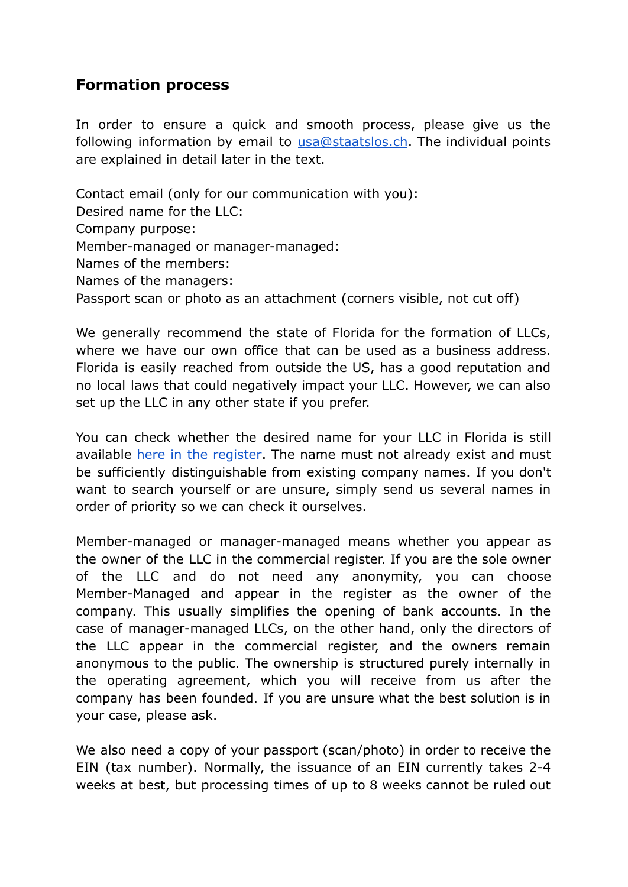### **Formation process**

In order to ensure a quick and smooth process, please give us the following information by email to [usa@staatslos.ch](mailto:usa@staatenlos.ch). The individual points are explained in detail later in the text.

Contact email (only for our communication with you): Desired name for the LLC: Company purpose: Member-managed or manager-managed: Names of the members: Names of the managers: Passport scan or photo as an attachment (corners visible, not cut off)

We generally recommend the state of Florida for the formation of LLCs, where we have our own office that can be used as a business address. Florida is easily reached from outside the US, has a good reputation and no local laws that could negatively impact your LLC. However, we can also set up the LLC in any other state if you prefer.

You can check whether the desired name for your LLC in Florida is still available here in the [register](http://search.sunbiz.org/Inquiry/CorporationSearch/ByName). The name must not already exist and must be sufficiently distinguishable from existing company names. If you don't want to search yourself or are unsure, simply send us several names in order of priority so we can check it ourselves.

Member-managed or manager-managed means whether you appear as the owner of the LLC in the commercial register. If you are the sole owner of the LLC and do not need any anonymity, you can choose Member-Managed and appear in the register as the owner of the company. This usually simplifies the opening of bank accounts. In the case of manager-managed LLCs, on the other hand, only the directors of the LLC appear in the commercial register, and the owners remain anonymous to the public. The ownership is structured purely internally in the operating agreement, which you will receive from us after the company has been founded. If you are unsure what the best solution is in your case, please ask.

We also need a copy of your passport (scan/photo) in order to receive the EIN (tax number). Normally, the issuance of an EIN currently takes 2-4 weeks at best, but processing times of up to 8 weeks cannot be ruled out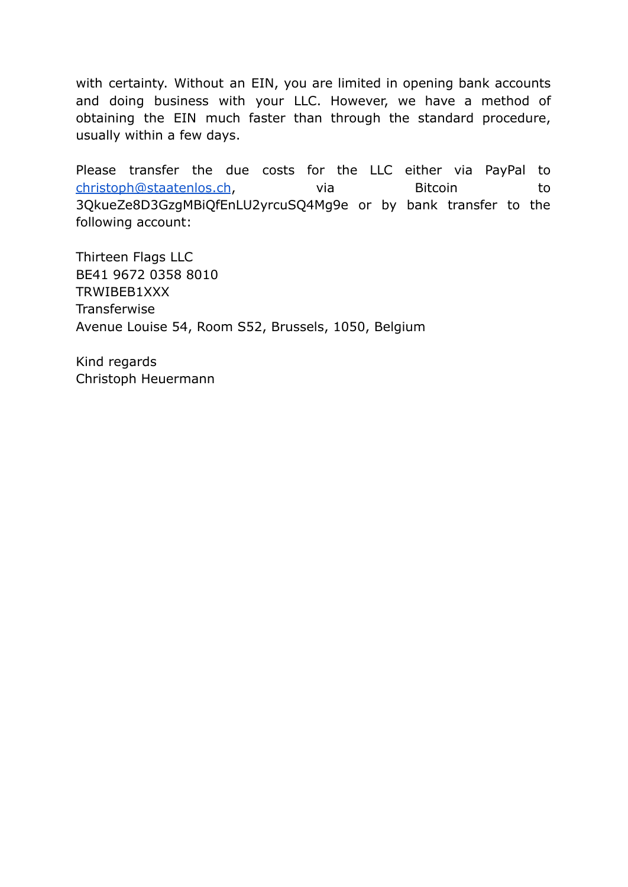with certainty. Without an EIN, you are limited in opening bank accounts and doing business with your LLC. However, we have a method of obtaining the EIN much faster than through the standard procedure, usually within a few days.

Please transfer the due costs for the LLC either via PayPal to [christoph@staatenlos.ch](mailto:christoph@staatenlos.ch), via Bitcoin to 3QkueZe8D3GzgMBiQfEnLU2yrcuSQ4Mg9e or by bank transfer to the following account:

Thirteen Flags LLC BE41 9672 0358 8010 TRWIBEB1XXX **Transferwise** Avenue Louise 54, Room S52, Brussels, 1050, Belgium

Kind regards Christoph Heuermann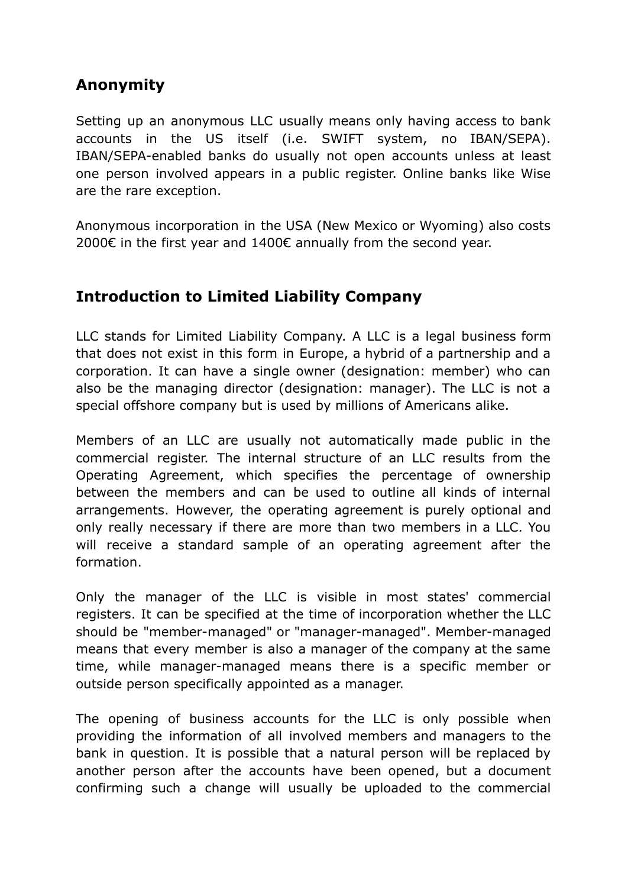# **Anonymity**

Setting up an anonymous LLC usually means only having access to bank accounts in the US itself (i.e. SWIFT system, no IBAN/SEPA). IBAN/SEPA-enabled banks do usually not open accounts unless at least one person involved appears in a public register. Online banks like Wise are the rare exception.

Anonymous incorporation in the USA (New Mexico or Wyoming) also costs 2000€ in the first year and 1400€ annually from the second year.

## **Introduction to Limited Liability Company**

LLC stands for Limited Liability Company. A LLC is a legal business form that does not exist in this form in Europe, a hybrid of a partnership and a corporation. It can have a single owner (designation: member) who can also be the managing director (designation: manager). The LLC is not a special offshore company but is used by millions of Americans alike.

Members of an LLC are usually not automatically made public in the commercial register. The internal structure of an LLC results from the Operating Agreement, which specifies the percentage of ownership between the members and can be used to outline all kinds of internal arrangements. However, the operating agreement is purely optional and only really necessary if there are more than two members in a LLC. You will receive a standard sample of an operating agreement after the formation.

Only the manager of the LLC is visible in most states' commercial registers. It can be specified at the time of incorporation whether the LLC should be "member-managed" or "manager-managed". Member-managed means that every member is also a manager of the company at the same time, while manager-managed means there is a specific member or outside person specifically appointed as a manager.

The opening of business accounts for the LLC is only possible when providing the information of all involved members and managers to the bank in question. It is possible that a natural person will be replaced by another person after the accounts have been opened, but a document confirming such a change will usually be uploaded to the commercial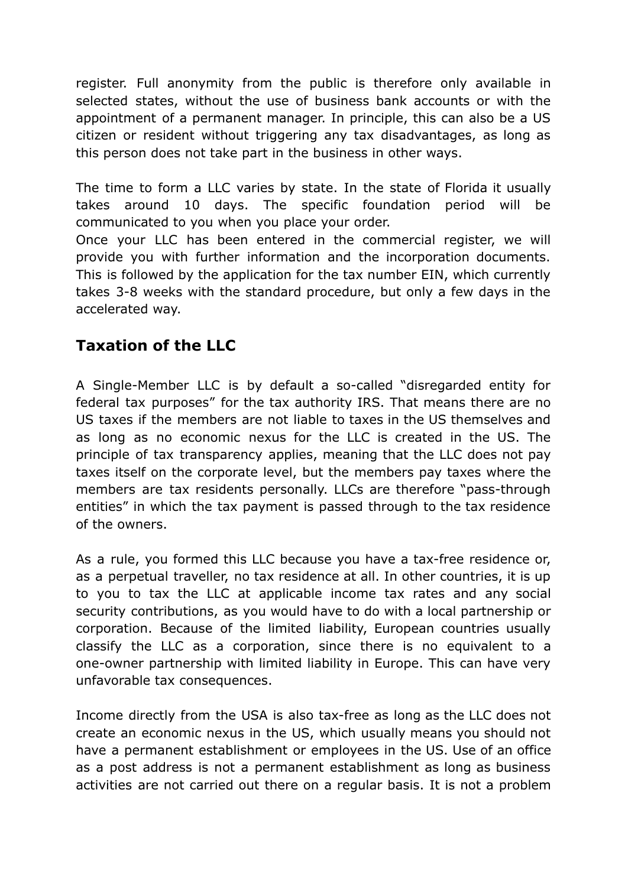register. Full anonymity from the public is therefore only available in selected states, without the use of business bank accounts or with the appointment of a permanent manager. In principle, this can also be a US citizen or resident without triggering any tax disadvantages, as long as this person does not take part in the business in other ways.

The time to form a LLC varies by state. In the state of Florida it usually takes around 10 days. The specific foundation period will be communicated to you when you place your order.

Once your LLC has been entered in the commercial register, we will provide you with further information and the incorporation documents. This is followed by the application for the tax number EIN, which currently takes 3-8 weeks with the standard procedure, but only a few days in the accelerated way.

## **Taxation of the LLC**

A Single-Member LLC is by default a so-called "disregarded entity for federal tax purposes" for the tax authority IRS. That means there are no US taxes if the members are not liable to taxes in the US themselves and as long as no economic nexus for the LLC is created in the US. The principle of tax transparency applies, meaning that the LLC does not pay taxes itself on the corporate level, but the members pay taxes where the members are tax residents personally. LLCs are therefore "pass-through entities" in which the tax payment is passed through to the tax residence of the owners.

As a rule, you formed this LLC because you have a tax-free residence or, as a perpetual traveller, no tax residence at all. In other countries, it is up to you to tax the LLC at applicable income tax rates and any social security contributions, as you would have to do with a local partnership or corporation. Because of the limited liability, European countries usually classify the LLC as a corporation, since there is no equivalent to a one-owner partnership with limited liability in Europe. This can have very unfavorable tax consequences.

Income directly from the USA is also tax-free as long as the LLC does not create an economic nexus in the US, which usually means you should not have a permanent establishment or employees in the US. Use of an office as a post address is not a permanent establishment as long as business activities are not carried out there on a regular basis. It is not a problem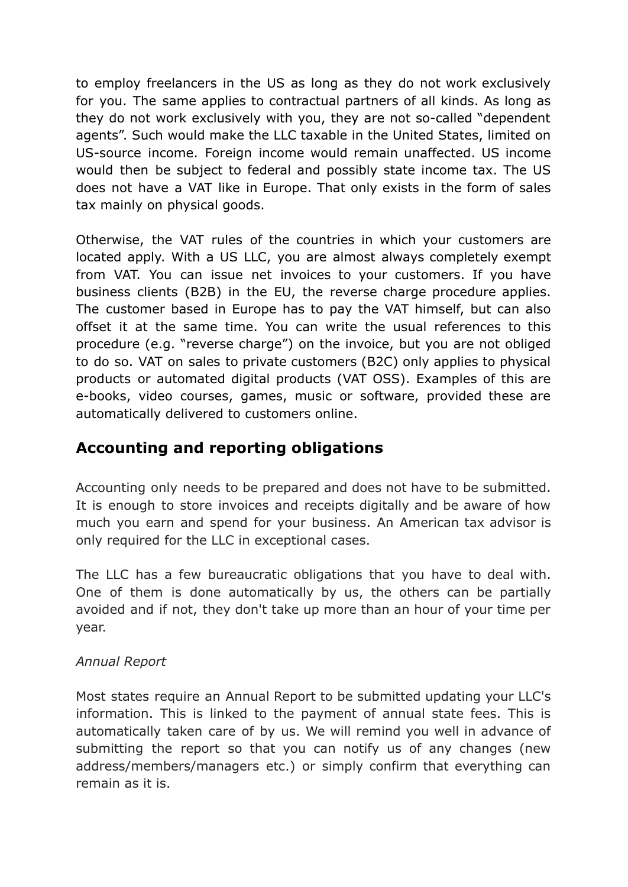to employ freelancers in the US as long as they do not work exclusively for you. The same applies to contractual partners of all kinds. As long as they do not work exclusively with you, they are not so-called "dependent agents". Such would make the LLC taxable in the United States, limited on US-source income. Foreign income would remain unaffected. US income would then be subject to federal and possibly state income tax. The US does not have a VAT like in Europe. That only exists in the form of sales tax mainly on physical goods.

Otherwise, the VAT rules of the countries in which your customers are located apply. With a US LLC, you are almost always completely exempt from VAT. You can issue net invoices to your customers. If you have business clients (B2B) in the EU, the reverse charge procedure applies. The customer based in Europe has to pay the VAT himself, but can also offset it at the same time. You can write the usual references to this procedure (e.g. "reverse charge") on the invoice, but you are not obliged to do so. VAT on sales to private customers (B2C) only applies to physical products or automated digital products (VAT OSS). Examples of this are e-books, video courses, games, music or software, provided these are automatically delivered to customers online.

### **Accounting and reporting obligations**

Accounting only needs to be prepared and does not have to be submitted. It is enough to store invoices and receipts digitally and be aware of how much you earn and spend for your business. An American tax advisor is only required for the LLC in exceptional cases.

The LLC has a few bureaucratic obligations that you have to deal with. One of them is done automatically by us, the others can be partially avoided and if not, they don't take up more than an hour of your time per year.

#### *Annual Report*

Most states require an Annual Report to be submitted updating your LLC's information. This is linked to the payment of annual state fees. This is automatically taken care of by us. We will remind you well in advance of submitting the report so that you can notify us of any changes (new address/members/managers etc.) or simply confirm that everything can remain as it is.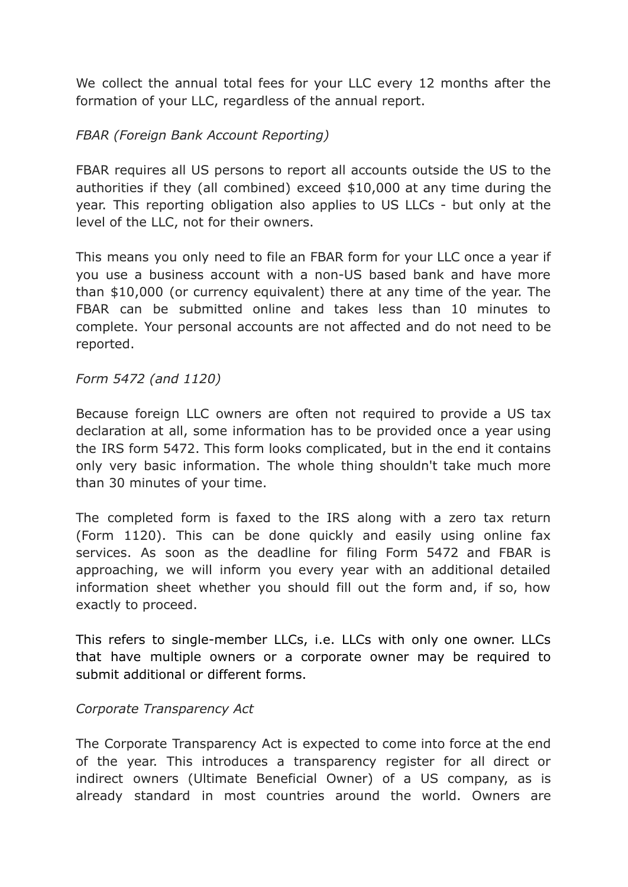We collect the annual total fees for your LLC every 12 months after the formation of your LLC, regardless of the annual report.

### *FBAR (Foreign Bank Account Reporting)*

FBAR requires all US persons to report all accounts outside the US to the authorities if they (all combined) exceed \$10,000 at any time during the year. This reporting obligation also applies to US LLCs - but only at the level of the LLC, not for their owners.

This means you only need to file an FBAR form for your LLC once a year if you use a business account with a non-US based bank and have more than \$10,000 (or currency equivalent) there at any time of the year. The FBAR can be submitted online and takes less than 10 minutes to complete. Your personal accounts are not affected and do not need to be reported.

#### *Form 5472 (and 1120)*

Because foreign LLC owners are often not required to provide a US tax declaration at all, some information has to be provided once a year using the IRS form 5472. This form looks complicated, but in the end it contains only very basic information. The whole thing shouldn't take much more than 30 minutes of your time.

The completed form is faxed to the IRS along with a zero tax return (Form 1120). This can be done quickly and easily using online fax services. As soon as the deadline for filing Form 5472 and FBAR is approaching, we will inform you every year with an additional detailed information sheet whether you should fill out the form and, if so, how exactly to proceed.

This refers to single-member LLCs, i.e. LLCs with only one owner. LLCs that have multiple owners or a corporate owner may be required to submit additional or different forms.

#### *Corporate Transparency Act*

The Corporate Transparency Act is expected to come into force at the end of the year. This introduces a transparency register for all direct or indirect owners (Ultimate Beneficial Owner) of a US company, as is already standard in most countries around the world. Owners are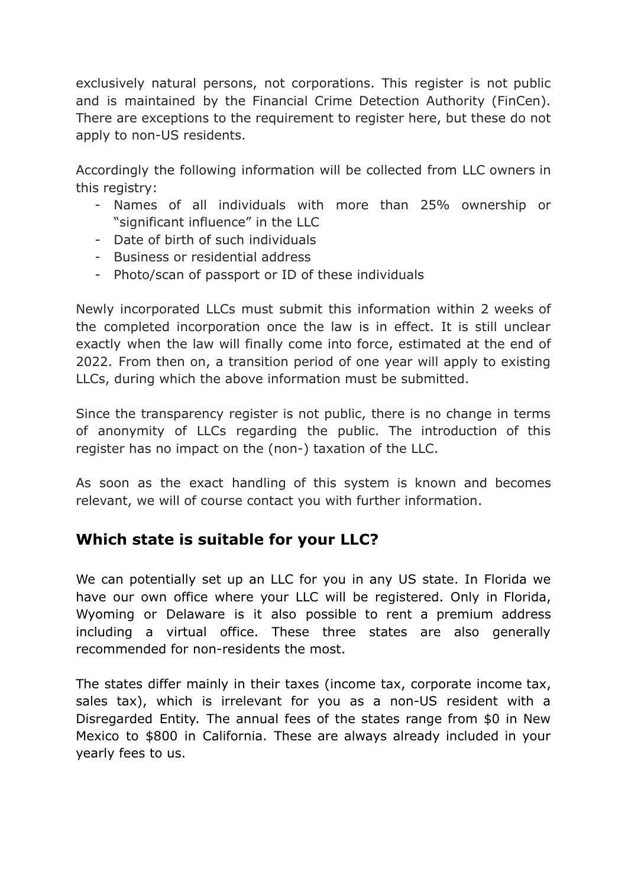exclusively natural persons, not corporations. This register is not public and is maintained by the Financial Crime Detection Authority (FinCen). There are exceptions to the requirement to register here, but these do not apply to non-US residents.

Accordingly the following information will be collected from LLC owners in this registry:

- Names of all individuals with more than 25% ownership or "significant influence" in the LLC
- Date of birth of such individuals
- Business or residential address
- Photo/scan of passport or ID of these individuals

Newly incorporated LLCs must submit this information within 2 weeks of the completed incorporation once the law is in effect. It is still unclear exactly when the law will finally come into force, estimated at the end of 2022. From then on, a transition period of one year will apply to existing LLCs, during which the above information must be submitted.

Since the transparency register is not public, there is no change in terms of anonymity of LLCs regarding the public. The introduction of this register has no impact on the (non-) taxation of the LLC.

As soon as the exact handling of this system is known and becomes relevant, we will of course contact you with further information.

## **Which state is suitable for your LLC?**

We can potentially set up an LLC for you in any US state. In Florida we have our own office where your LLC will be registered. Only in Florida, Wyoming or Delaware is it also possible to rent a premium address including a virtual office. These three states are also generally recommended for non-residents the most.

The states differ mainly in their taxes (income tax, corporate income tax, sales tax), which is irrelevant for you as a non-US resident with a Disregarded Entity. The annual fees of the states range from \$0 in New Mexico to \$800 in California. These are always already included in your yearly fees to us.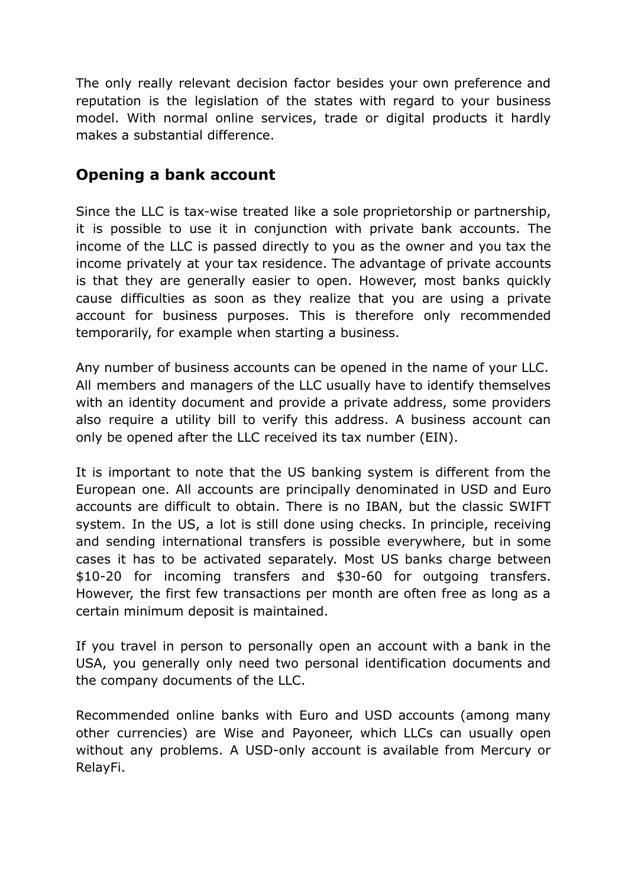The only really relevant decision factor besides your own preference and reputation is the legislation of the states with regard to your business model. With normal online services, trade or digital products it hardly makes a substantial difference.

## **Opening a bank account**

Since the LLC is tax-wise treated like a sole proprietorship or partnership, it is possible to use it in conjunction with private bank accounts. The income of the LLC is passed directly to you as the owner and you tax the income privately at your tax residence. The advantage of private accounts is that they are generally easier to open. However, most banks quickly cause difficulties as soon as they realize that you are using a private account for business purposes. This is therefore only recommended temporarily, for example when starting a business.

Any number of business accounts can be opened in the name of your LLC. All members and managers of the LLC usually have to identify themselves with an identity document and provide a private address, some providers also require a utility bill to verify this address. A business account can only be opened after the LLC received its tax number (EIN).

It is important to note that the US banking system is different from the European one. All accounts are principally denominated in USD and Euro accounts are difficult to obtain. There is no IBAN, but the classic SWIFT system. In the US, a lot is still done using checks. In principle, receiving and sending international transfers is possible everywhere, but in some cases it has to be activated separately. Most US banks charge between \$10-20 for incoming transfers and \$30-60 for outgoing transfers. However, the first few transactions per month are often free as long as a certain minimum deposit is maintained.

If you travel in person to personally open an account with a bank in the USA, you generally only need two personal identification documents and the company documents of the LLC.

Recommended online banks with Euro and USD accounts (among many other currencies) are Wise and Payoneer, which LLCs can usually open without any problems. A USD-only account is available from Mercury or RelayFi.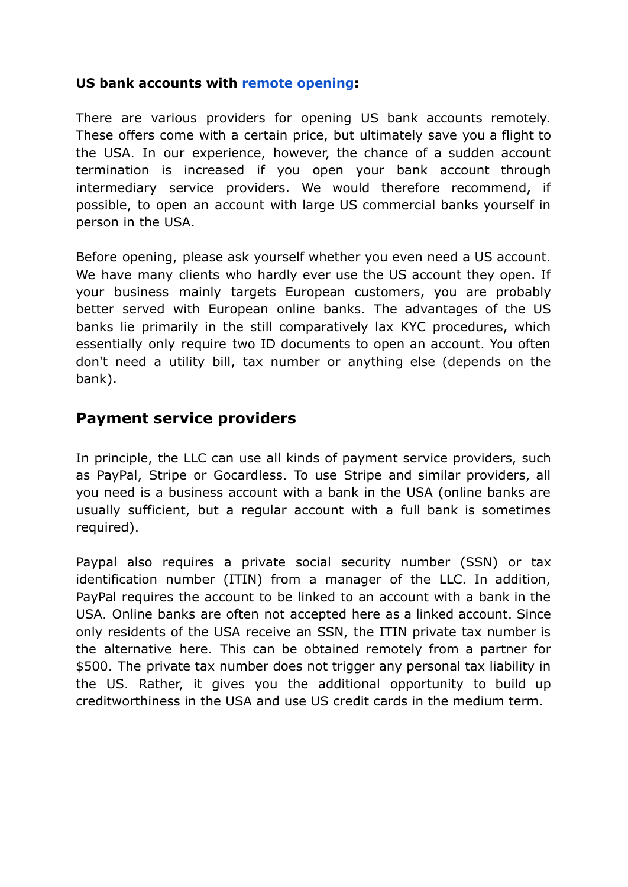#### **US bank accounts with [remote opening](https://www.globaljay.com/):**

There are various providers for opening US bank accounts remotely. These offers come with a certain price, but ultimately save you a flight to the USA. In our experience, however, the chance of a sudden account termination is increased if you open your bank account through intermediary service providers. We would therefore recommend, if possible, to open an account with large US commercial banks yourself in person in the USA.

Before opening, please ask yourself whether you even need a US account. We have many clients who hardly ever use the US account they open. If your business mainly targets European customers, you are probably better served with European online banks. The advantages of the US banks lie primarily in the still comparatively lax KYC procedures, which essentially only require two ID documents to open an account. You often don't need a utility bill, tax number or anything else (depends on the bank).

### **Payment service providers**

In principle, the LLC can use all kinds of payment service providers, such as PayPal, Stripe or Gocardless. To use Stripe and similar providers, all you need is a business account with a bank in the USA (online banks are usually sufficient, but a regular account with a full bank is sometimes required).

Paypal also requires a private social security number (SSN) or tax identification number (ITIN) from a manager of the LLC. In addition, PayPal requires the account to be linked to an account with a bank in the USA. Online banks are often not accepted here as a linked account. Since only residents of the USA receive an SSN, the ITIN private tax number is the alternative here. This can be obtained remotely from a partner for \$500. The private tax number does not trigger any personal tax liability in the US. Rather, it gives you the additional opportunity to build up creditworthiness in the USA and use US credit cards in the medium term.